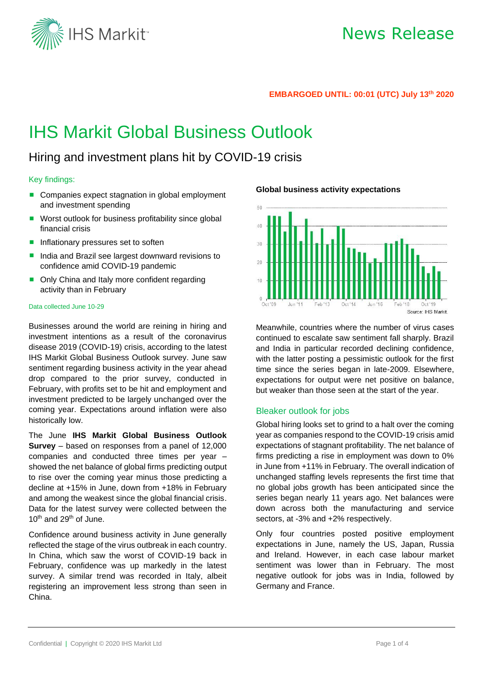

### **EMBARGOED UNTIL: 00:01 (UTC) July 13 th 2020**

# IHS Markit Global Business Outlook

## Hiring and investment plans hit by COVID-19 crisis

### Key findings:

- Companies expect stagnation in global employment and investment spending
- Worst outlook for business profitability since global financial crisis
- **Inflationary pressures set to soften**
- India and Brazil see largest downward revisions to confidence amid COVID-19 pandemic
- Only China and Italy more confident regarding activity than in February

#### Data collected June 10-29

Businesses around the world are reining in hiring and investment intentions as a result of the coronavirus disease 2019 (COVID-19) crisis, according to the latest IHS Markit Global Business Outlook survey. June saw sentiment regarding business activity in the year ahead drop compared to the prior survey, conducted in February, with profits set to be hit and employment and investment predicted to be largely unchanged over the coming year. Expectations around inflation were also historically low.

The June **IHS Markit Global Business Outlook Survey** – based on responses from a panel of 12,000 companies and conducted three times per year – showed the net balance of global firms predicting output to rise over the coming year minus those predicting a decline at +15% in June, down from +18% in February and among the weakest since the global financial crisis. Data for the latest survey were collected between the 10<sup>th</sup> and 29<sup>th</sup> of June.

Confidence around business activity in June generally reflected the stage of the virus outbreak in each country. In China, which saw the worst of COVID-19 back in February, confidence was up markedly in the latest survey. A similar trend was recorded in Italy, albeit registering an improvement less strong than seen in China.

**Global business activity expectations** 



Meanwhile, countries where the number of virus cases continued to escalate saw sentiment fall sharply. Brazil and India in particular recorded declining confidence, with the latter posting a pessimistic outlook for the first time since the series began in late-2009. Elsewhere, expectations for output were net positive on balance, but weaker than those seen at the start of the year.

## Bleaker outlook for jobs

Global hiring looks set to grind to a halt over the coming year as companies respond to the COVID-19 crisis amid expectations of stagnant profitability. The net balance of firms predicting a rise in employment was down to 0% in June from +11% in February. The overall indication of unchanged staffing levels represents the first time that no global jobs growth has been anticipated since the series began nearly 11 years ago. Net balances were down across both the manufacturing and service sectors, at -3% and +2% respectively.

Only four countries posted positive employment expectations in June, namely the US, Japan, Russia and Ireland. However, in each case labour market sentiment was lower than in February. The most negative outlook for jobs was in India, followed by Germany and France.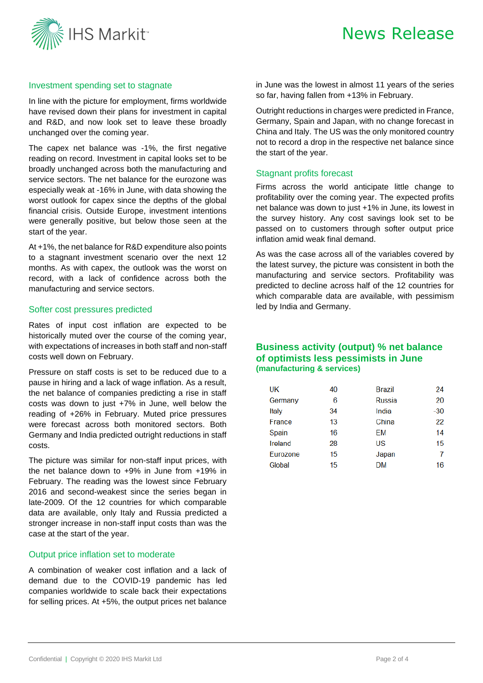



## Investment spending set to stagnate

In line with the picture for employment, firms worldwide have revised down their plans for investment in capital and R&D, and now look set to leave these broadly unchanged over the coming year.

The capex net balance was -1%, the first negative reading on record. Investment in capital looks set to be broadly unchanged across both the manufacturing and service sectors. The net balance for the eurozone was especially weak at -16% in June, with data showing the worst outlook for capex since the depths of the global financial crisis. Outside Europe, investment intentions were generally positive, but below those seen at the start of the year.

At +1%, the net balance for R&D expenditure also points to a stagnant investment scenario over the next 12 months. As with capex, the outlook was the worst on record, with a lack of confidence across both the manufacturing and service sectors.

### Softer cost pressures predicted

Rates of input cost inflation are expected to be historically muted over the course of the coming year, with expectations of increases in both staff and non-staff costs well down on February.

Pressure on staff costs is set to be reduced due to a pause in hiring and a lack of wage inflation. As a result, the net balance of companies predicting a rise in staff costs was down to just +7% in June, well below the reading of +26% in February. Muted price pressures were forecast across both monitored sectors. Both Germany and India predicted outright reductions in staff costs.

The picture was similar for non-staff input prices, with the net balance down to +9% in June from +19% in February. The reading was the lowest since February 2016 and second-weakest since the series began in late-2009. Of the 12 countries for which comparable data are available, only Italy and Russia predicted a stronger increase in non-staff input costs than was the case at the start of the year.

## Output price inflation set to moderate

A combination of weaker cost inflation and a lack of demand due to the COVID-19 pandemic has led companies worldwide to scale back their expectations for selling prices. At +5%, the output prices net balance

in June was the lowest in almost 11 years of the series so far, having fallen from +13% in February.

Outright reductions in charges were predicted in France, Germany, Spain and Japan, with no change forecast in China and Italy. The US was the only monitored country not to record a drop in the respective net balance since the start of the year.

## Stagnant profits forecast

Firms across the world anticipate little change to profitability over the coming year. The expected profits net balance was down to just +1% in June, its lowest in the survey history. Any cost savings look set to be passed on to customers through softer output price inflation amid weak final demand.

As was the case across all of the variables covered by the latest survey, the picture was consistent in both the manufacturing and service sectors. Profitability was predicted to decline across half of the 12 countries for which comparable data are available, with pessimism led by India and Germany.

## **Business activity (output) % net balance of optimists less pessimists in June (manufacturing & services)**

| UK       | 40 | Brazil        | 24    |
|----------|----|---------------|-------|
| Germany  | 6  | <b>Russia</b> | 20    |
| Italy    | 34 | India         | $-30$ |
| France   | 13 | China         | 22    |
| Spain    | 16 | FМ            | 14    |
| Ireland  | 28 | US            | 15    |
| Eurozone | 15 | Japan         |       |
| Global   | 15 | DM            | 16    |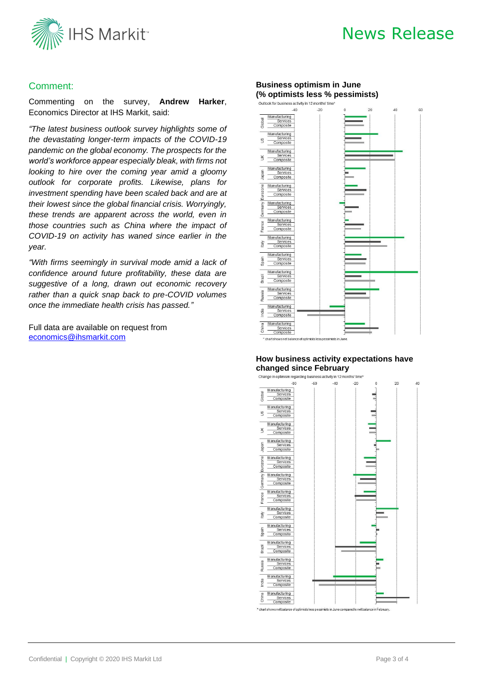

# News Release

## Comment:

Commenting on the survey, **Andrew Harker**, Economics Director at IHS Markit, said:

*"The latest business outlook survey highlights some of the devastating longer-term impacts of the COVID-19 pandemic on the global economy. The prospects for the world's workforce appear especially bleak, with firms not looking to hire over the coming year amid a gloomy outlook for corporate profits. Likewise, plans for investment spending have been scaled back and are at their lowest since the global financial crisis. Worryingly, these trends are apparent across the world, even in those countries such as China where the impact of COVID-19 on activity has waned since earlier in the year.*

*"With firms seemingly in survival mode amid a lack of confidence around future profitability, these data are suggestive of a long, drawn out economic recovery rather than a quick snap back to pre-COVID volumes once the immediate health crisis has passed."*

Full data are available on request from [economics@ihsmarkit.com](mailto:economics@ihsmarkit.com)

## **Business optimism in June (% optimists less % pessimists)**



#### **How business activity expectations have changed since February**